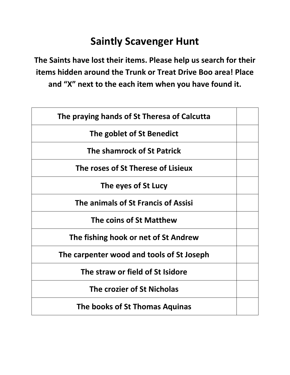## **Saintly Scavenger Hunt**

**The Saints have lost their items. Please help us search for their items hidden around the Trunk or Treat Drive Boo area! Place and "X" next to the each item when you have found it.**

| The praying hands of St Theresa of Calcutta |  |
|---------------------------------------------|--|
| The goblet of St Benedict                   |  |
| The shamrock of St Patrick                  |  |
| The roses of St Therese of Lisieux          |  |
| The eyes of St Lucy                         |  |
| The animals of St Francis of Assisi         |  |
| The coins of St Matthew                     |  |
| The fishing hook or net of St Andrew        |  |
| The carpenter wood and tools of St Joseph   |  |
| The straw or field of St Isidore            |  |
| The crozier of St Nicholas                  |  |
| The books of St Thomas Aquinas              |  |